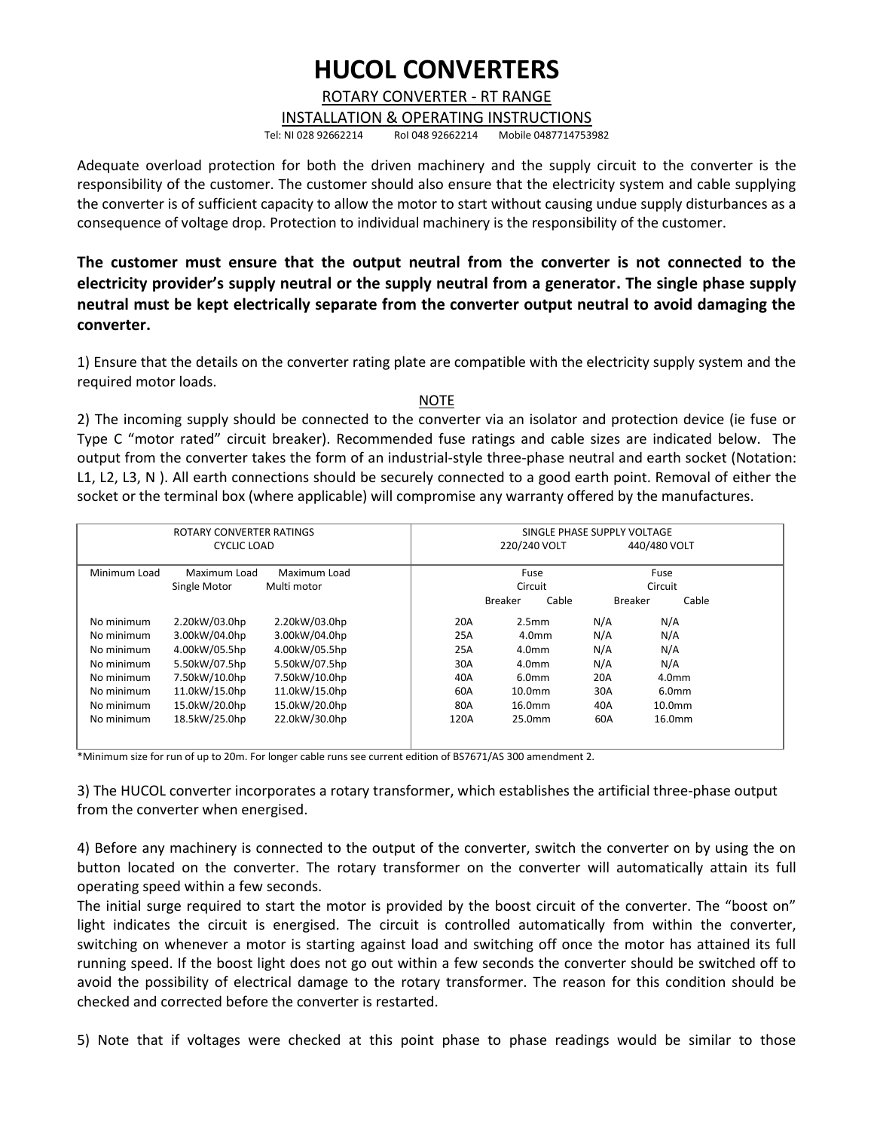## **HUCOL CONVERTERS**

## ROTARY CONVERTER - RT RANGE

INSTALLATION & OPERATING INSTRUCTIONS Tel: NI 028 92662214 RoI 048 92662214 Mobile 0487714753982

Adequate overload protection for both the driven machinery and the supply circuit to the converter is the responsibility of the customer. The customer should also ensure that the electricity system and cable supplying the converter is of sufficient capacity to allow the motor to start without causing undue supply disturbances as a

consequence of voltage drop. Protection to individual machinery is the responsibility of the customer.

**The customer must ensure that the output neutral from the converter is not connected to the electricity provider's supply neutral or the supply neutral from a generator. The single phase supply neutral must be kept electrically separate from the converter output neutral to avoid damaging the converter.**

1) Ensure that the details on the converter rating plate are compatible with the electricity supply system and the required motor loads.

## NOTE

2) The incoming supply should be connected to the converter via an isolator and protection device (ie fuse or Type C "motor rated" circuit breaker). Recommended fuse ratings and cable sizes are indicated below. The output from the converter takes the form of an industrial-style three-phase neutral and earth socket (Notation: L1, L2, L3, N ). All earth connections should be securely connected to a good earth point. Removal of either the socket or the terminal box (where applicable) will compromise any warranty offered by the manufactures.

| ROTARY CONVERTER RATINGS<br>CYCLIC LOAD |                              |               |      | SINGLE PHASE SUPPLY VOLTAGE  |                   |                |                    |  |  |
|-----------------------------------------|------------------------------|---------------|------|------------------------------|-------------------|----------------|--------------------|--|--|
|                                         |                              |               |      | 440/480 VOLT<br>220/240 VOLT |                   |                |                    |  |  |
| Minimum Load                            | Maximum Load<br>Maximum Load |               |      | Fuse                         |                   | Fuse           |                    |  |  |
|                                         | Single Motor                 | Multi motor   |      | Circuit                      |                   | Circuit        |                    |  |  |
|                                         |                              |               |      | <b>Breaker</b>               | Cable             | <b>Breaker</b> | Cable              |  |  |
| No minimum                              | 2.20kW/03.0hp                | 2.20kW/03.0hp | 20A  |                              | 2.5 <sub>mm</sub> | N/A            | N/A                |  |  |
| No minimum                              | 3.00kW/04.0hp                | 3.00kW/04.0hp | 25A  |                              | 4.0 <sub>mm</sub> |                | N/A                |  |  |
| No minimum                              | 4.00kW/05.5hp                | 4.00kW/05.5hp | 25A  |                              | 4.0 <sub>mm</sub> |                | N/A                |  |  |
| No minimum                              | 5.50kW/07.5hp                | 5.50kW/07.5hp | 30A  |                              | 4.0 <sub>mm</sub> |                | N/A                |  |  |
| No minimum                              | 7.50kW/10.0hp                | 7.50kW/10.0hp | 40A  |                              | 6.0 <sub>mm</sub> |                | 4.0 <sub>mm</sub>  |  |  |
| No minimum                              | 11.0kW/15.0hp                | 11.0kW/15.0hp | 60A  | 10.0 <sub>mm</sub>           |                   | 30A            | 6.0 <sub>mm</sub>  |  |  |
| No minimum                              | 15.0kW/20.0hp                | 15.0kW/20.0hp | 80A  |                              | 16.0mm            |                | 10.0 <sub>mm</sub> |  |  |
| No minimum                              | 18.5kW/25.0hp                | 22.0kW/30.0hp | 120A | 25.0mm                       |                   | 60A            | 16.0 <sub>mm</sub> |  |  |
|                                         |                              |               |      |                              |                   |                |                    |  |  |
|                                         |                              |               |      |                              |                   |                |                    |  |  |

\*Minimum size for run of up to 20m. For longer cable runs see current edition of BS7671/AS 300 amendment 2.

3) The HUCOL converter incorporates a rotary transformer, which establishes the artificial three-phase output from the converter when energised.

4) Before any machinery is connected to the output of the converter, switch the converter on by using the on button located on the converter. The rotary transformer on the converter will automatically attain its full operating speed within a few seconds.

The initial surge required to start the motor is provided by the boost circuit of the converter. The "boost on" light indicates the circuit is energised. The circuit is controlled automatically from within the converter, switching on whenever a motor is starting against load and switching off once the motor has attained its full running speed. If the boost light does not go out within a few seconds the converter should be switched off to avoid the possibility of electrical damage to the rotary transformer. The reason for this condition should be checked and corrected before the converter is restarted.

5) Note that if voltages were checked at this point phase to phase readings would be similar to those